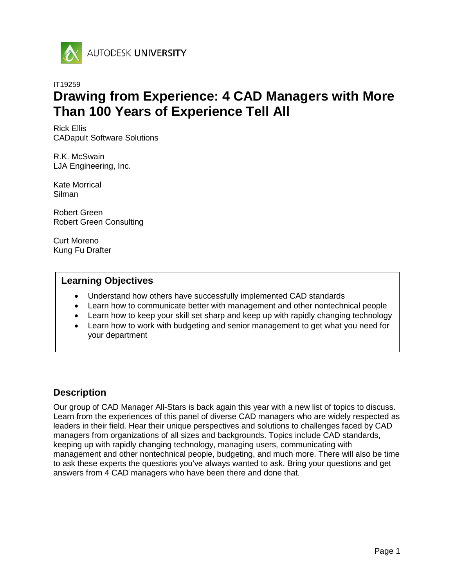

# IT19259 **Drawing from Experience: 4 CAD Managers with More Than 100 Years of Experience Tell All**

Rick Ellis CADapult Software Solutions

R.K. McSwain LJA Engineering, Inc.

Kate Morrical Silman

Robert Green Robert Green Consulting

Curt Moreno Kung Fu Drafter

### **Learning Objectives**

- Understand how others have successfully implemented CAD standards
- Learn how to communicate better with management and other nontechnical people
- Learn how to keep your skill set sharp and keep up with rapidly changing technology
- Learn how to work with budgeting and senior management to get what you need for your department

### **Description**

Our group of CAD Manager All-Stars is back again this year with a new list of topics to discuss. Learn from the experiences of this panel of diverse CAD managers who are widely respected as leaders in their field. Hear their unique perspectives and solutions to challenges faced by CAD managers from organizations of all sizes and backgrounds. Topics include CAD standards, keeping up with rapidly changing technology, managing users, communicating with management and other nontechnical people, budgeting, and much more. There will also be time to ask these experts the questions you've always wanted to ask. Bring your questions and get answers from 4 CAD managers who have been there and done that.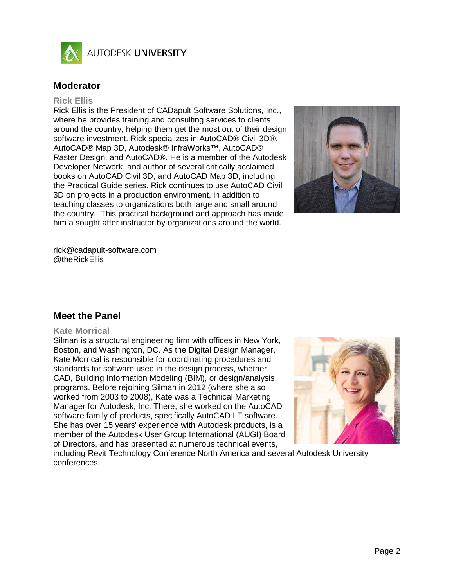

AUTODESK UNIVERSITY

### **Moderator**

#### **Rick Ellis**

Rick Ellis is the President of CADapult Software Solutions, Inc., where he provides training and consulting services to clients around the country, helping them get the most out of their design software investment. Rick specializes in AutoCAD® Civil 3D®, AutoCAD® Map 3D, Autodesk® InfraWorks™, AutoCAD® Raster Design, and AutoCAD®. He is a member of the Autodesk Developer Network, and author of several critically acclaimed books on AutoCAD Civil 3D, and AutoCAD Map 3D; including the Practical Guide series. Rick continues to use AutoCAD Civil 3D on projects in a production environment, in addition to teaching classes to organizations both large and small around the country. This practical background and approach has made him a sought after instructor by organizations around the world.



rick@cadapult-software.com @theRickEllis

### **Meet the Panel**

#### **Kate Morrical**

Silman is a structural engineering firm with offices in New York, Boston, and Washington, DC. As the Digital Design Manager, Kate Morrical is responsible for coordinating procedures and standards for software used in the design process, whether CAD, Building Information Modeling (BIM), or design/analysis programs. Before rejoining Silman in 2012 (where she also worked from 2003 to 2008), Kate was a Technical Marketing Manager for Autodesk, Inc. There, she worked on the AutoCAD software family of products, specifically AutoCAD LT software. She has over 15 years' experience with Autodesk products, is a member of the Autodesk User Group International (AUGI) Board of Directors, and has presented at numerous technical events,



including Revit Technology Conference North America and several Autodesk University conferences.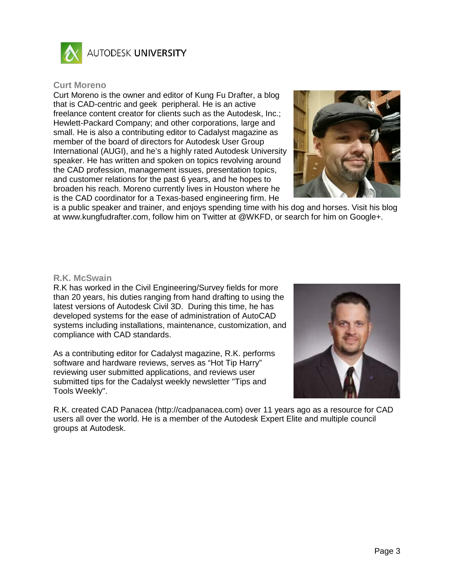

AUTODESK UNIVERSITY

#### **Curt Moreno**

Curt Moreno is the owner and editor of Kung Fu Drafter, a blog that is CAD-centric and geek peripheral. He is an active freelance content creator for clients such as the Autodesk, Inc.; Hewlett-Packard Company; and other corporations, large and small. He is also a contributing editor to Cadalyst magazine as member of the board of directors for Autodesk User Group International (AUGI), and he's a highly rated Autodesk University speaker. He has written and spoken on topics revolving around the CAD profession, management issues, presentation topics, and customer relations for the past 6 years, and he hopes to broaden his reach. Moreno currently lives in Houston where he is the CAD coordinator for a Texas-based engineering firm. He



is a public speaker and trainer, and enjoys spending time with his dog and horses. Visit his blog at www.kungfudrafter.com, follow him on Twitter at @WKFD, or search for him on Google+.

#### **R.K. McSwain**

R.K has worked in the Civil Engineering/Survey fields for more than 20 years, his duties ranging from hand drafting to using the latest versions of Autodesk Civil 3D. During this time, he has developed systems for the ease of administration of AutoCAD systems including installations, maintenance, customization, and compliance with CAD standards.

As a contributing editor for Cadalyst magazine, R.K. performs software and hardware reviews, serves as "Hot Tip Harry" reviewing user submitted applications, and reviews user submitted tips for the Cadalyst weekly newsletter "Tips and Tools Weekly".



R.K. created CAD Panacea (http://cadpanacea.com) over 11 years ago as a resource for CAD users all over the world. He is a member of the Autodesk Expert Elite and multiple council groups at Autodesk.